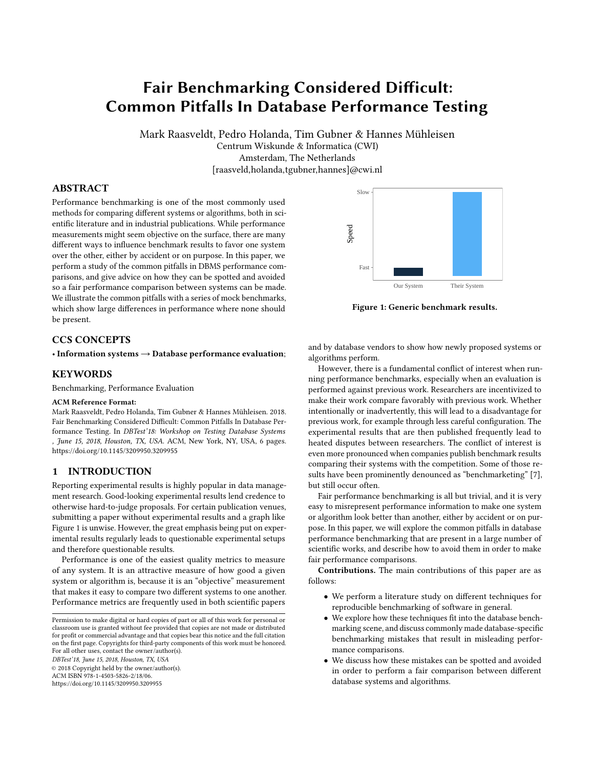# Fair Benchmarking Considered Difficult: Common Pitfalls In Database Performance Testing

Mark Raasveldt, Pedro Holanda, Tim Gubner & Hannes Mühleisen Centrum Wiskunde & Informatica (CWI) Amsterdam, The Netherlands [raasveld,holanda,tgubner,hannes]@cwi.nl

# ABSTRACT

Performance benchmarking is one of the most commonly used methods for comparing different systems or algorithms, both in scientific literature and in industrial publications. While performance measurements might seem objective on the surface, there are many different ways to influence benchmark results to favor one system over the other, either by accident or on purpose. In this paper, we perform a study of the common pitfalls in DBMS performance comparisons, and give advice on how they can be spotted and avoided so a fair performance comparison between systems can be made. We illustrate the common pitfalls with a series of mock benchmarks, which show large differences in performance where none should be present.

#### CCS CONCEPTS

#### • Information systems  $\rightarrow$  Database performance evaluation;

## **KEYWORDS**

Benchmarking, Performance Evaluation

#### ACM Reference Format:

Mark Raasveldt, Pedro Holanda, Tim Gubner & Hannes Mühleisen. 2018. Fair Benchmarking Considered Difficult: Common Pitfalls In Database Performance Testing. In DBTest'18: Workshop on Testing Database Systems , June 15, 2018, Houston, TX, USA. ACM, New York, NY, USA, [6](#page-5-0) pages. <https://doi.org/10.1145/3209950.3209955>

#### 1 INTRODUCTION

Reporting experimental results is highly popular in data management research. Good-looking experimental results lend credence to otherwise hard-to-judge proposals. For certain publication venues, submitting a paper without experimental results and a graph like Figure [1](#page-0-0) is unwise. However, the great emphasis being put on experimental results regularly leads to questionable experimental setups and therefore questionable results.

Performance is one of the easiest quality metrics to measure of any system. It is an attractive measure of how good a given system or algorithm is, because it is an "objective" measurement that makes it easy to compare two different systems to one another. Performance metrics are frequently used in both scientific papers

DBTest'18, June 15, 2018, Houston, TX, USA

© 2018 Copyright held by the owner/author(s). ACM ISBN 978-1-4503-5826-2/18/06.

<https://doi.org/10.1145/3209950.3209955>

<span id="page-0-0"></span>

Figure 1: Generic benchmark results.

and by database vendors to show how newly proposed systems or algorithms perform.

However, there is a fundamental conflict of interest when running performance benchmarks, especially when an evaluation is performed against previous work. Researchers are incentivized to make their work compare favorably with previous work. Whether intentionally or inadvertently, this will lead to a disadvantage for previous work, for example through less careful configuration. The experimental results that are then published frequently lead to heated disputes between researchers. The conflict of interest is even more pronounced when companies publish benchmark results comparing their systems with the competition. Some of those results have been prominently denounced as "benchmarketing" [\[7\]](#page-5-1), but still occur often.

Fair performance benchmarking is all but trivial, and it is very easy to misrepresent performance information to make one system or algorithm look better than another, either by accident or on purpose. In this paper, we will explore the common pitfalls in database performance benchmarking that are present in a large number of scientific works, and describe how to avoid them in order to make fair performance comparisons.

Contributions. The main contributions of this paper are as follows:

- We perform a literature study on different techniques for reproducible benchmarking of software in general.
- We explore how these techniques fit into the database benchmarking scene, and discuss commonly made database-specific benchmarking mistakes that result in misleading performance comparisons.
- We discuss how these mistakes can be spotted and avoided in order to perform a fair comparison between different database systems and algorithms.

Permission to make digital or hard copies of part or all of this work for personal or classroom use is granted without fee provided that copies are not made or distributed for profit or commercial advantage and that copies bear this notice and the full citation on the first page. Copyrights for third-party components of this work must be honored. For all other uses, contact the owner/author(s).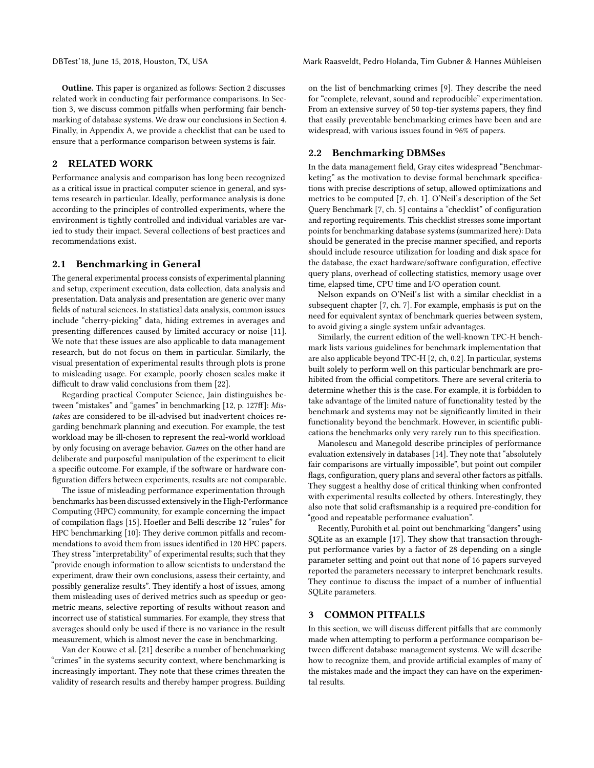Outline. This paper is organized as follows: Section [2](#page-1-0) discusses related work in conducting fair performance comparisons. In Section [3,](#page-1-1) we discuss common pitfalls when performing fair benchmarking of database systems. We draw our conclusions in Section [4.](#page-4-0) Finally, in Appendix [A,](#page-5-2) we provide a checklist that can be used to ensure that a performance comparison between systems is fair.

#### <span id="page-1-0"></span>2 RELATED WORK

Performance analysis and comparison has long been recognized as a critical issue in practical computer science in general, and systems research in particular. Ideally, performance analysis is done according to the principles of controlled experiments, where the environment is tightly controlled and individual variables are varied to study their impact. Several collections of best practices and recommendations exist.

#### 2.1 Benchmarking in General

The general experimental process consists of experimental planning and setup, experiment execution, data collection, data analysis and presentation. Data analysis and presentation are generic over many fields of natural sciences. In statistical data analysis, common issues include "cherry-picking" data, hiding extremes in averages and presenting differences caused by limited accuracy or noise [\[11\]](#page-5-3). We note that these issues are also applicable to data management research, but do not focus on them in particular. Similarly, the visual presentation of experimental results through plots is prone to misleading usage. For example, poorly chosen scales make it difficult to draw valid conclusions from them [\[22\]](#page-5-4).

Regarding practical Computer Science, Jain distinguishes between "mistakes" and "games" in benchmarking [\[12,](#page-5-5) p. 127ff]: Mistakes are considered to be ill-advised but inadvertent choices regarding benchmark planning and execution. For example, the test workload may be ill-chosen to represent the real-world workload by only focusing on average behavior. Games on the other hand are deliberate and purposeful manipulation of the experiment to elicit a specific outcome. For example, if the software or hardware configuration differs between experiments, results are not comparable.

The issue of misleading performance experimentation through benchmarks has been discussed extensively in the High-Performance Computing (HPC) community, for example concerning the impact of compilation flags [\[15\]](#page-5-6). Hoefler and Belli describe 12 "rules" for HPC benchmarking [\[10\]](#page-5-7): They derive common pitfalls and recommendations to avoid them from issues identified in 120 HPC papers. They stress "interpretability" of experimental results; such that they "provide enough information to allow scientists to understand the experiment, draw their own conclusions, assess their certainty, and possibly generalize results". They identify a host of issues, among them misleading uses of derived metrics such as speedup or geometric means, selective reporting of results without reason and incorrect use of statistical summaries. For example, they stress that averages should only be used if there is no variance in the result measurement, which is almost never the case in benchmarking.

Van der Kouwe et al. [\[21\]](#page-5-8) describe a number of benchmarking "crimes" in the systems security context, where benchmarking is increasingly important. They note that these crimes threaten the validity of research results and thereby hamper progress. Building

DBTest'18, June 15, 2018, Houston, TX, USA Mark Raasveldt, Pedro Holanda, Tim Gubner & Hannes Mühleisen

on the list of benchmarking crimes [\[9\]](#page-5-9). They describe the need for "complete, relevant, sound and reproducible" experimentation. From an extensive survey of 50 top-tier systems papers, they find that easily preventable benchmarking crimes have been and are widespread, with various issues found in 96% of papers.

#### 2.2 Benchmarking DBMSes

In the data management field, Gray cites widespread "Benchmarketing" as the motivation to devise formal benchmark specifications with precise descriptions of setup, allowed optimizations and metrics to be computed [\[7,](#page-5-1) ch. 1]. O'Neil's description of the Set Query Benchmark [\[7,](#page-5-1) ch. 5] contains a "checklist" of configuration and reporting requirements. This checklist stresses some important points for benchmarking database systems (summarized here): Data should be generated in the precise manner specified, and reports should include resource utilization for loading and disk space for the database, the exact hardware/software configuration, effective query plans, overhead of collecting statistics, memory usage over time, elapsed time, CPU time and I/O operation count.

Nelson expands on O'Neil's list with a similar checklist in a subsequent chapter [\[7,](#page-5-1) ch. 7]. For example, emphasis is put on the need for equivalent syntax of benchmark queries between system, to avoid giving a single system unfair advantages.

Similarly, the current edition of the well-known TPC-H benchmark lists various guidelines for benchmark implementation that are also applicable beyond TPC-H [\[2,](#page-5-10) ch, 0.2]. In particular, systems built solely to perform well on this particular benchmark are prohibited from the official competitors. There are several criteria to determine whether this is the case. For example, it is forbidden to take advantage of the limited nature of functionality tested by the benchmark and systems may not be significantly limited in their functionality beyond the benchmark. However, in scientific publications the benchmarks only very rarely run to this specification.

Manolescu and Manegold describe principles of performance evaluation extensively in databases [\[14\]](#page-5-11). They note that "absolutely fair comparisons are virtually impossible", but point out compiler flags, configuration, query plans and several other factors as pitfalls. They suggest a healthy dose of critical thinking when confronted with experimental results collected by others. Interestingly, they also note that solid craftsmanship is a required pre-condition for "good and repeatable performance evaluation".

Recently, Purohith et al. point out benchmarking "dangers" using SQLite as an example [\[17\]](#page-5-12). They show that transaction throughput performance varies by a factor of 28 depending on a single parameter setting and point out that none of 16 papers surveyed reported the parameters necessary to interpret benchmark results. They continue to discuss the impact of a number of influential SQLite parameters.

# <span id="page-1-1"></span>3 COMMON PITFALLS

In this section, we will discuss different pitfalls that are commonly made when attempting to perform a performance comparison between different database management systems. We will describe how to recognize them, and provide artificial examples of many of the mistakes made and the impact they can have on the experimental results.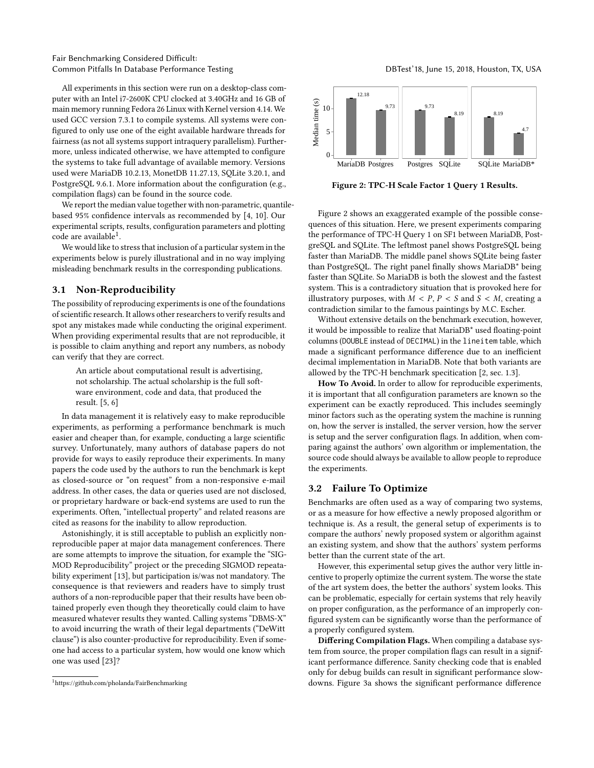Fair Benchmarking Considered Difficult: Common Pitfalls In Database Performance Testing The Common Pitfalls In Database Performance Testing Common Pitfalls In Database Performance Testing Common Pitfalls In Database Performance Testing Common Pitfalls In DBTest'

All experiments in this section were run on a desktop-class computer with an Intel i7-2600K CPU clocked at 3.40GHz and 16 GB of main memory running Fedora 26 Linux with Kernel version 4.14. We used GCC version 7.3.1 to compile systems. All systems were configured to only use one of the eight available hardware threads for fairness (as not all systems support intraquery parallelism). Furthermore, unless indicated otherwise, we have attempted to configure the systems to take full advantage of available memory. Versions used were MariaDB 10.2.13, MonetDB 11.27.13, SQLite 3.20.1, and PostgreSQL 9.6.1. More information about the configuration (e.g., compilation flags) can be found in the source code.

We report the median value together with non-parametric, quantilebased 95% confidence intervals as recommended by [\[4,](#page-5-13) [10\]](#page-5-7). Our experimental scripts, results, configuration parameters and plotting code are available<sup>[1](#page-2-0)</sup>.

We would like to stress that inclusion of a particular system in the experiments below is purely illustrational and in no way implying misleading benchmark results in the corresponding publications.

#### 3.1 Non-Reproducibility

The possibility of reproducing experiments is one of the foundations of scientific research. It allows other researchers to verify results and spot any mistakes made while conducting the original experiment. When providing experimental results that are not reproducible, it is possible to claim anything and report any numbers, as nobody can verify that they are correct.

An article about computational result is advertising, not scholarship. The actual scholarship is the full software environment, code and data, that produced the result. [\[5,](#page-5-14) [6\]](#page-5-15)

In data management it is relatively easy to make reproducible experiments, as performing a performance benchmark is much easier and cheaper than, for example, conducting a large scientific survey. Unfortunately, many authors of database papers do not provide for ways to easily reproduce their experiments. In many papers the code used by the authors to run the benchmark is kept as closed-source or "on request" from a non-responsive e-mail address. In other cases, the data or queries used are not disclosed, or proprietary hardware or back-end systems are used to run the experiments. Often, "intellectual property" and related reasons are cited as reasons for the inability to allow reproduction.

Astonishingly, it is still acceptable to publish an explicitly nonreproducible paper at major data management conferences. There are some attempts to improve the situation, for example the "SIG-MOD Reproducibility" project or the preceding SIGMOD repeatability experiment [\[13\]](#page-5-16), but participation is/was not mandatory. The consequence is that reviewers and readers have to simply trust authors of a non-reproducible paper that their results have been obtained properly even though they theoretically could claim to have measured whatever results they wanted. Calling systems "DBMS-X" to avoid incurring the wrath of their legal departments ("DeWitt clause") is also counter-productive for reproducibility. Even if someone had access to a particular system, how would one know which one was used [\[23\]](#page-5-17)?

<span id="page-2-1"></span>

Figure 2: TPC-H Scale Factor 1 Query 1 Results.

Figure [2](#page-2-1) shows an exaggerated example of the possible consequences of this situation. Here, we present experiments comparing the performance of TPC-H Query 1 on SF1 between MariaDB, PostgreSQL and SQLite. The leftmost panel shows PostgreSQL being faster than MariaDB. The middle panel shows SQLite being faster than PostgreSQL. The right panel finally shows MariaDB\* being faster than SQLite. So MariaDB is both the slowest and the fastest system. This is a contradictory situation that is provoked here for illustratory purposes, with  $M < P$ ,  $P < S$  and  $S < M$ , creating a contradiction similar to the famous paintings by M.C. Escher.

Without extensive details on the benchmark execution, however, it would be impossible to realize that MariaDB\* used floating-point columns (DOUBLE instead of DECIMAL) in the lineitem table, which made a significant performance difference due to an inefficient decimal implementation in MariaDB. Note that both variants are allowed by the TPC-H benchmark specitication [\[2,](#page-5-10) sec. 1.3].

How To Avoid. In order to allow for reproducible experiments, it is important that all configuration parameters are known so the experiment can be exactly reproduced. This includes seemingly minor factors such as the operating system the machine is running on, how the server is installed, the server version, how the server is setup and the server configuration flags. In addition, when comparing against the authors' own algorithm or implementation, the source code should always be available to allow people to reproduce the experiments.

#### 3.2 Failure To Optimize

Benchmarks are often used as a way of comparing two systems, or as a measure for how effective a newly proposed algorithm or technique is. As a result, the general setup of experiments is to compare the authors' newly proposed system or algorithm against an existing system, and show that the authors' system performs better than the current state of the art.

However, this experimental setup gives the author very little incentive to properly optimize the current system. The worse the state of the art system does, the better the authors' system looks. This can be problematic, especially for certain systems that rely heavily on proper configuration, as the performance of an improperly configured system can be significantly worse than the performance of a properly configured system.

Differing Compilation Flags. When compiling a database system from source, the proper compilation flags can result in a significant performance difference. Sanity checking code that is enabled only for debug builds can result in significant performance slowdowns. Figure [3a](#page-3-0) shows the significant performance difference

<span id="page-2-0"></span><sup>1</sup><https://github.com/pholanda/FairBenchmarking>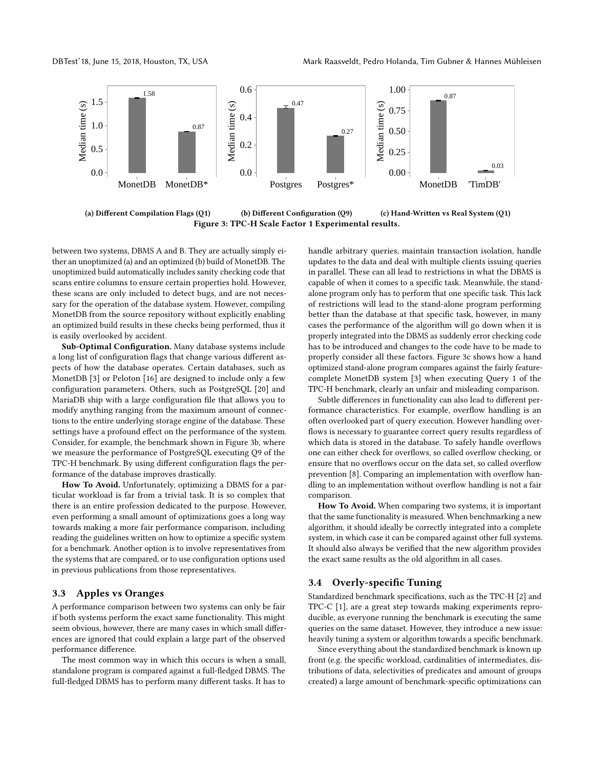<span id="page-3-0"></span>

(a) Different Compilation Flags (Q1) (b) Different Configuration (Q9) (c) Hand-Written vs Real System (Q1) Figure 3: TPC-H Scale Factor 1 Experimental results.

between two systems, DBMS A and B. They are actually simply either an unoptimized (a) and an optimized (b) build of MonetDB. The unoptimized build automatically includes sanity checking code that scans entire columns to ensure certain properties hold. However, these scans are only included to detect bugs, and are not necessary for the operation of the database system. However, compiling MonetDB from the source repository without explicitly enabling an optimized build results in these checks being performed, thus it is easily overlooked by accident.

Sub-Optimal Configuration. Many database systems include a long list of configuration flags that change various different aspects of how the database operates. Certain databases, such as MonetDB [\[3\]](#page-5-18) or Peloton [\[16\]](#page-5-19) are designed to include only a few configuration parameters. Others, such as PostgreSQL [\[20\]](#page-5-20) and MariaDB ship with a large configuration file that allows you to modify anything ranging from the maximum amount of connections to the entire underlying storage engine of the database. These settings have a profound effect on the performance of the system. Consider, for example, the benchmark shown in Figure [3b,](#page-3-0) where we measure the performance of PostgreSQL executing Q9 of the TPC-H benchmark. By using different configuration flags the performance of the database improves drastically.

How To Avoid. Unfortunately, optimizing a DBMS for a particular workload is far from a trivial task. It is so complex that there is an entire profession dedicated to the purpose. However, even performing a small amount of optimizations goes a long way towards making a more fair performance comparison, including reading the guidelines written on how to optimize a specific system for a benchmark. Another option is to involve representatives from the systems that are compared, or to use configuration options used in previous publications from those representatives.

### 3.3 Apples vs Oranges

A performance comparison between two systems can only be fair if both systems perform the exact same functionality. This might seem obvious, however, there are many cases in which small differences are ignored that could explain a large part of the observed performance difference.

The most common way in which this occurs is when a small, standalone program is compared against a full-fledged DBMS. The full-fledged DBMS has to perform many different tasks. It has to

handle arbitrary queries, maintain transaction isolation, handle updates to the data and deal with multiple clients issuing queries in parallel. These can all lead to restrictions in what the DBMS is capable of when it comes to a specific task. Meanwhile, the standalone program only has to perform that one specific task. This lack of restrictions will lead to the stand-alone program performing better than the database at that specific task, however, in many cases the performance of the algorithm will go down when it is properly integrated into the DBMS as suddenly error checking code has to be introduced and changes to the code have to be made to properly consider all these factors. Figure [3c](#page-3-0) shows how a hand optimized stand-alone program compares against the fairly featurecomplete MonetDB system [\[3\]](#page-5-18) when executing Query 1 of the TPC-H benchmark, clearly an unfair and misleading comparison.

Subtle differences in functionality can also lead to different performance characteristics. For example, overflow handling is an often overlooked part of query execution. However handling overflows is necessary to guarantee correct query results regardless of which data is stored in the database. To safely handle overflows one can either check for overflows, so called overflow checking, or ensure that no overflows occur on the data set, so called overflow prevention [\[8\]](#page-5-21). Comparing an implementation with overflow handling to an implementation without overflow handling is not a fair comparison.

How To Avoid. When comparing two systems, it is important that the same functionality is measured. When benchmarking a new algorithm, it should ideally be correctly integrated into a complete system, in which case it can be compared against other full systems. It should also always be verified that the new algorithm provides the exact same results as the old algorithm in all cases.

## 3.4 Overly-specific Tuning

Standardized benchmark specifications, such as the TPC-H [\[2\]](#page-5-10) and TPC-C [\[1\]](#page-5-22), are a great step towards making experiments reproducible, as everyone running the benchmark is executing the same queries on the same dataset. However, they introduce a new issue: heavily tuning a system or algorithm towards a specific benchmark.

Since everything about the standardized benchmark is known up front (e.g. the specific workload, cardinalities of intermediates, distributions of data, selectivities of predicates and amount of groups created) a large amount of benchmark-specific optimizations can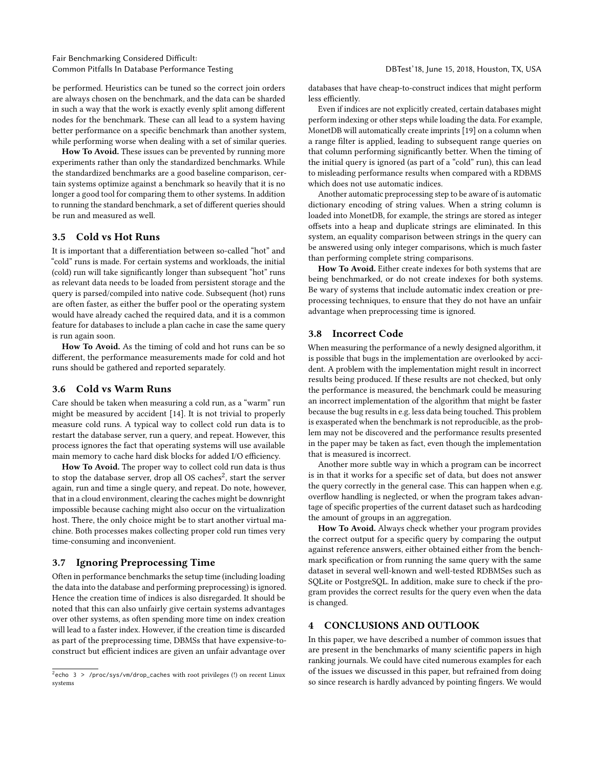Fair Benchmarking Considered Difficult: Common Pitfalls In Database Performance Testing The Common Pitfalls In Database Performance Testing The Common DBTest'18, June 15, 2018, Houston, TX, USA

be performed. Heuristics can be tuned so the correct join orders are always chosen on the benchmark, and the data can be sharded in such a way that the work is exactly evenly split among different nodes for the benchmark. These can all lead to a system having better performance on a specific benchmark than another system, while performing worse when dealing with a set of similar queries.

How To Avoid. These issues can be prevented by running more experiments rather than only the standardized benchmarks. While the standardized benchmarks are a good baseline comparison, certain systems optimize against a benchmark so heavily that it is no longer a good tool for comparing them to other systems. In addition to running the standard benchmark, a set of different queries should be run and measured as well.

#### 3.5 Cold vs Hot Runs

It is important that a differentiation between so-called "hot" and "cold" runs is made. For certain systems and workloads, the initial (cold) run will take significantly longer than subsequent "hot" runs as relevant data needs to be loaded from persistent storage and the query is parsed/compiled into native code. Subsequent (hot) runs are often faster, as either the buffer pool or the operating system would have already cached the required data, and it is a common feature for databases to include a plan cache in case the same query is run again soon.

How To Avoid. As the timing of cold and hot runs can be so different, the performance measurements made for cold and hot runs should be gathered and reported separately.

# 3.6 Cold vs Warm Runs

Care should be taken when measuring a cold run, as a "warm" run might be measured by accident [\[14\]](#page-5-11). It is not trivial to properly measure cold runs. A typical way to collect cold run data is to restart the database server, run a query, and repeat. However, this process ignores the fact that operating systems will use available main memory to cache hard disk blocks for added I/O efficiency.

How To Avoid. The proper way to collect cold run data is thus to stop the database server, drop all OS caches $^2$  $^2$ , start the server again, run and time a single query, and repeat. Do note, however, that in a cloud environment, clearing the caches might be downright impossible because caching might also occur on the virtualization host. There, the only choice might be to start another virtual machine. Both processes makes collecting proper cold run times very time-consuming and inconvenient.

#### 3.7 Ignoring Preprocessing Time

Often in performance benchmarks the setup time (including loading the data into the database and performing preprocessing) is ignored. Hence the creation time of indices is also disregarded. It should be noted that this can also unfairly give certain systems advantages over other systems, as often spending more time on index creation will lead to a faster index. However, if the creation time is discarded as part of the preprocessing time, DBMSs that have expensive-toconstruct but efficient indices are given an unfair advantage over

databases that have cheap-to-construct indices that might perform less efficiently.

Even if indices are not explicitly created, certain databases might perform indexing or other steps while loading the data. For example, MonetDB will automatically create imprints [\[19\]](#page-5-23) on a column when a range filter is applied, leading to subsequent range queries on that column performing significantly better. When the timing of the initial query is ignored (as part of a "cold" run), this can lead to misleading performance results when compared with a RDBMS which does not use automatic indices.

Another automatic preprocessing step to be aware of is automatic dictionary encoding of string values. When a string column is loaded into MonetDB, for example, the strings are stored as integer offsets into a heap and duplicate strings are eliminated. In this system, an equality comparison between strings in the query can be answered using only integer comparisons, which is much faster than performing complete string comparisons.

How To Avoid. Either create indexes for both systems that are being benchmarked, or do not create indexes for both systems. Be wary of systems that include automatic index creation or preprocessing techniques, to ensure that they do not have an unfair advantage when preprocessing time is ignored.

#### 3.8 Incorrect Code

When measuring the performance of a newly designed algorithm, it is possible that bugs in the implementation are overlooked by accident. A problem with the implementation might result in incorrect results being produced. If these results are not checked, but only the performance is measured, the benchmark could be measuring an incorrect implementation of the algorithm that might be faster because the bug results in e.g. less data being touched. This problem is exasperated when the benchmark is not reproducible, as the problem may not be discovered and the performance results presented in the paper may be taken as fact, even though the implementation that is measured is incorrect.

Another more subtle way in which a program can be incorrect is in that it works for a specific set of data, but does not answer the query correctly in the general case. This can happen when e.g. overflow handling is neglected, or when the program takes advantage of specific properties of the current dataset such as hardcoding the amount of groups in an aggregation.

How To Avoid. Always check whether your program provides the correct output for a specific query by comparing the output against reference answers, either obtained either from the benchmark specification or from running the same query with the same dataset in several well-known and well-tested RDBMSes such as SQLite or PostgreSQL. In addition, make sure to check if the program provides the correct results for the query even when the data is changed.

#### <span id="page-4-0"></span>4 CONCLUSIONS AND OUTLOOK

In this paper, we have described a number of common issues that are present in the benchmarks of many scientific papers in high ranking journals. We could have cited numerous examples for each of the issues we discussed in this paper, but refrained from doing so since research is hardly advanced by pointing fingers. We would

<span id="page-4-1"></span> $^2$ echo 3 > /proc/sys/vm/drop\_caches with root privileges (!) on recent Linux systems